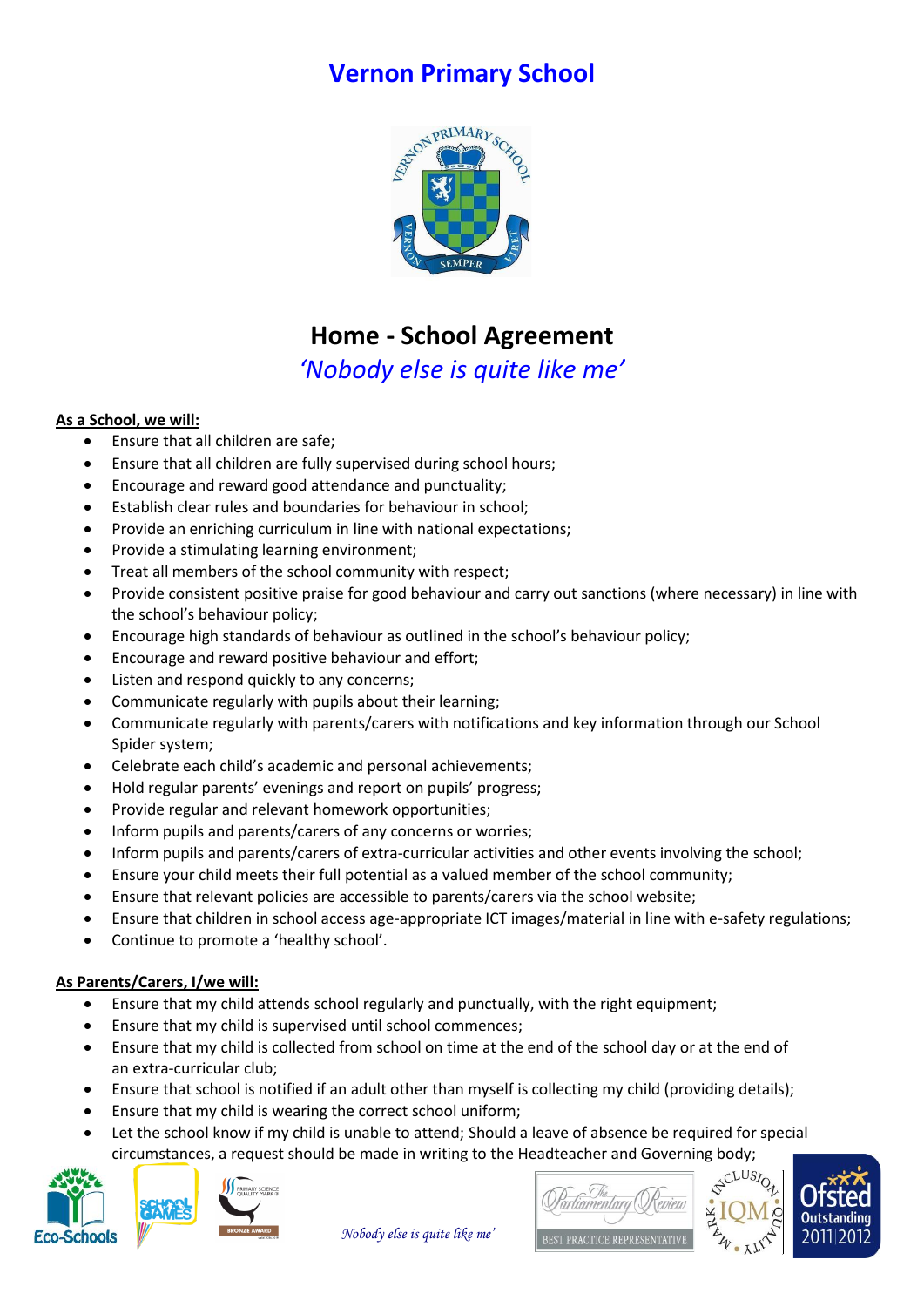## **Vernon Primary School**



# **Home - School Agreement**

### *'Nobody else is quite like me'*

#### **As a School, we will:**

- Ensure that all children are safe;
- Ensure that all children are fully supervised during school hours;
- Encourage and reward good attendance and punctuality;
- Establish clear rules and boundaries for behaviour in school;
- Provide an enriching curriculum in line with national expectations;
- Provide a stimulating learning environment;
- Treat all members of the school community with respect;
- Provide consistent positive praise for good behaviour and carry out sanctions (where necessary) in line with the school's behaviour policy;
- Encourage high standards of behaviour as outlined in the school's behaviour policy;
- Encourage and reward positive behaviour and effort;
- Listen and respond quickly to any concerns;
- Communicate regularly with pupils about their learning;
- Communicate regularly with parents/carers with notifications and key information through our School Spider system;
- Celebrate each child's academic and personal achievements;
- Hold regular parents' evenings and report on pupils' progress;
- Provide regular and relevant homework opportunities;
- Inform pupils and parents/carers of any concerns or worries;
- Inform pupils and parents/carers of extra-curricular activities and other events involving the school;
- Ensure your child meets their full potential as a valued member of the school community;
- Ensure that relevant policies are accessible to parents/carers via the school website;
- Ensure that children in school access age-appropriate ICT images/material in line with e-safety regulations;
- Continue to promote a 'healthy school'.

#### **As Parents/Carers, I/we will:**

- Ensure that my child attends school regularly and punctually, with the right equipment;
- Ensure that my child is supervised until school commences;
- Ensure that my child is collected from school on time at the end of the school day or at the end of an extra-curricular club;
- Ensure that school is notified if an adult other than myself is collecting my child (providing details);
- Ensure that my child is wearing the correct school uniform;
- Let the school know if my child is unable to attend; Should a leave of absence be required for special circumstances, a request should be made in writing to the Headteacher and Governing body;





*Nobody else is quite like me'*